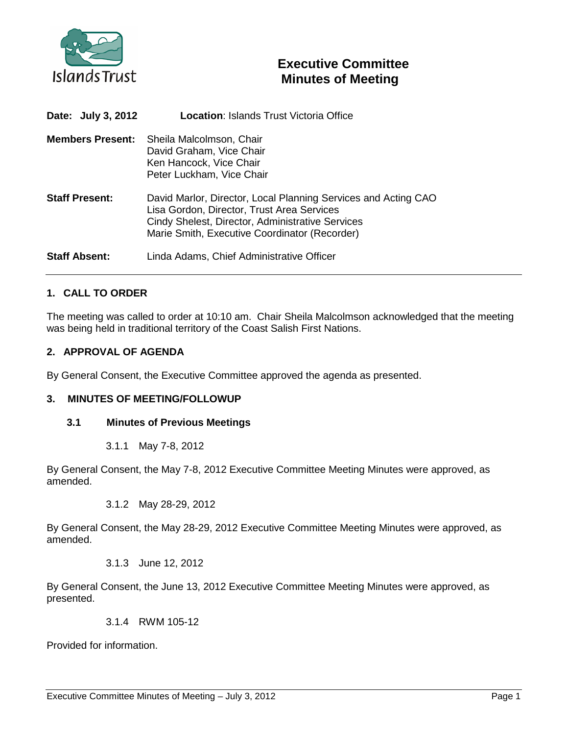

# **Executive Committee Minutes of Meeting**

| Date: July 3, 2012      | <b>Location: Islands Trust Victoria Office</b>                                                                                                                                                                    |
|-------------------------|-------------------------------------------------------------------------------------------------------------------------------------------------------------------------------------------------------------------|
| <b>Members Present:</b> | Sheila Malcolmson, Chair<br>David Graham, Vice Chair<br>Ken Hancock, Vice Chair<br>Peter Luckham, Vice Chair                                                                                                      |
| <b>Staff Present:</b>   | David Marlor, Director, Local Planning Services and Acting CAO<br>Lisa Gordon, Director, Trust Area Services<br>Cindy Shelest, Director, Administrative Services<br>Marie Smith, Executive Coordinator (Recorder) |
| <b>Staff Absent:</b>    | Linda Adams, Chief Administrative Officer                                                                                                                                                                         |

# **1. CALL TO ORDER**

The meeting was called to order at 10:10 am. Chair Sheila Malcolmson acknowledged that the meeting was being held in traditional territory of the Coast Salish First Nations.

# **2. APPROVAL OF AGENDA**

By General Consent, the Executive Committee approved the agenda as presented.

#### **3. MINUTES OF MEETING/FOLLOWUP**

#### **3.1 Minutes of Previous Meetings**

3.1.1 May 7-8, 2012

By General Consent, the May 7-8, 2012 Executive Committee Meeting Minutes were approved, as amended.

3.1.2 May 28-29, 2012

By General Consent, the May 28-29, 2012 Executive Committee Meeting Minutes were approved, as amended.

3.1.3 June 12, 2012

By General Consent, the June 13, 2012 Executive Committee Meeting Minutes were approved, as presented.

3.1.4 RWM 105-12

Provided for information.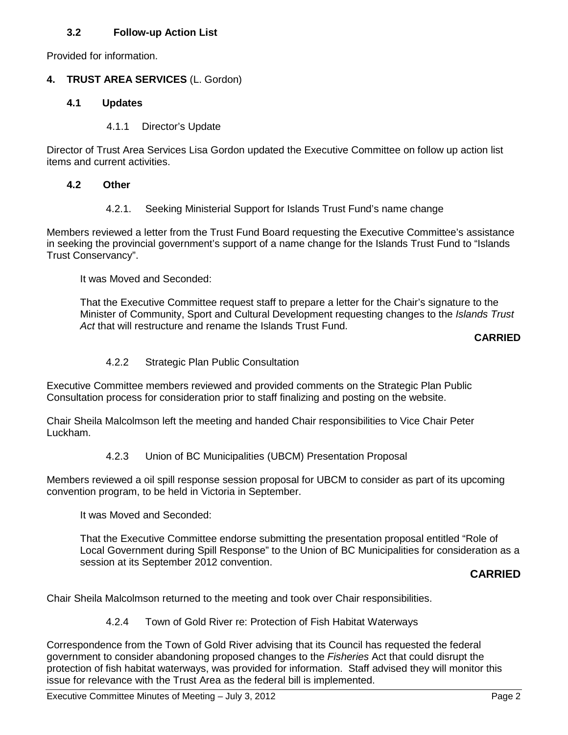# **3.2 Follow-up Action List**

Provided for information.

# **4. TRUST AREA SERVICES** (L. Gordon)

### **4.1 Updates**

4.1.1 Director's Update

Director of Trust Area Services Lisa Gordon updated the Executive Committee on follow up action list items and current activities.

#### **4.2 Other**

4.2.1. Seeking Ministerial Support for Islands Trust Fund's name change

Members reviewed a letter from the Trust Fund Board requesting the Executive Committee's assistance in seeking the provincial government's support of a name change for the Islands Trust Fund to "Islands Trust Conservancy".

It was Moved and Seconded:

That the Executive Committee request staff to prepare a letter for the Chair's signature to the Minister of Community, Sport and Cultural Development requesting changes to the *Islands Trust Act* that will restructure and rename the Islands Trust Fund.

# **CARRIED**

# 4.2.2 Strategic Plan Public Consultation

Executive Committee members reviewed and provided comments on the Strategic Plan Public Consultation process for consideration prior to staff finalizing and posting on the website.

Chair Sheila Malcolmson left the meeting and handed Chair responsibilities to Vice Chair Peter Luckham.

#### 4.2.3 Union of BC Municipalities (UBCM) Presentation Proposal

Members reviewed a oil spill response session proposal for UBCM to consider as part of its upcoming convention program, to be held in Victoria in September.

It was Moved and Seconded:

That the Executive Committee endorse submitting the presentation proposal entitled "Role of Local Government during Spill Response" to the Union of BC Municipalities for consideration as a session at its September 2012 convention.

# **CARRIED**

Chair Sheila Malcolmson returned to the meeting and took over Chair responsibilities.

4.2.4 Town of Gold River re: Protection of Fish Habitat Waterways

Correspondence from the Town of Gold River advising that its Council has requested the federal government to consider abandoning proposed changes to the *Fisheries* Act that could disrupt the protection of fish habitat waterways, was provided for information. Staff advised they will monitor this issue for relevance with the Trust Area as the federal bill is implemented.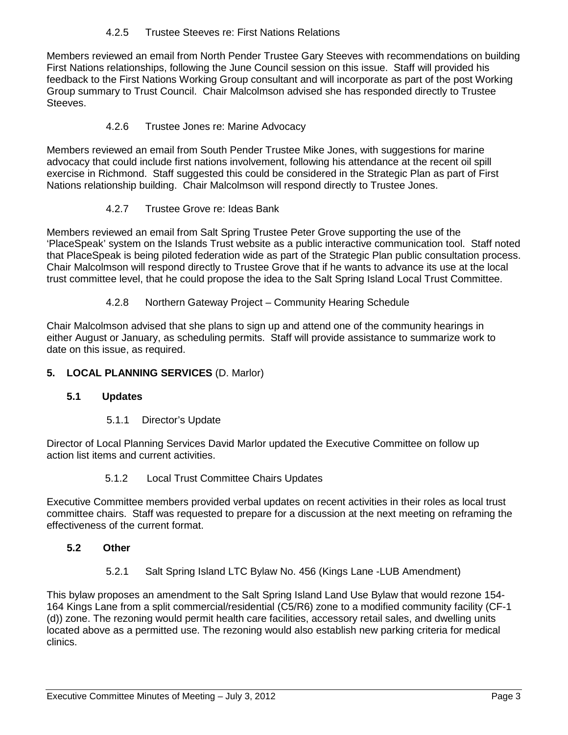# 4.2.5 Trustee Steeves re: First Nations Relations

Members reviewed an email from North Pender Trustee Gary Steeves with recommendations on building First Nations relationships, following the June Council session on this issue. Staff will provided his feedback to the First Nations Working Group consultant and will incorporate as part of the post Working Group summary to Trust Council. Chair Malcolmson advised she has responded directly to Trustee Steeves.

# 4.2.6 Trustee Jones re: Marine Advocacy

Members reviewed an email from South Pender Trustee Mike Jones, with suggestions for marine advocacy that could include first nations involvement, following his attendance at the recent oil spill exercise in Richmond. Staff suggested this could be considered in the Strategic Plan as part of First Nations relationship building. Chair Malcolmson will respond directly to Trustee Jones.

# 4.2.7 Trustee Grove re: Ideas Bank

Members reviewed an email from Salt Spring Trustee Peter Grove supporting the use of the 'PlaceSpeak' system on the Islands Trust website as a public interactive communication tool. Staff noted that PlaceSpeak is being piloted federation wide as part of the Strategic Plan public consultation process. Chair Malcolmson will respond directly to Trustee Grove that if he wants to advance its use at the local trust committee level, that he could propose the idea to the Salt Spring Island Local Trust Committee.

#### 4.2.8 Northern Gateway Project – Community Hearing Schedule

Chair Malcolmson advised that she plans to sign up and attend one of the community hearings in either August or January, as scheduling permits. Staff will provide assistance to summarize work to date on this issue, as required.

### **5. LOCAL PLANNING SERVICES** (D. Marlor)

#### **5.1 Updates**

5.1.1 Director's Update

Director of Local Planning Services David Marlor updated the Executive Committee on follow up action list items and current activities.

#### 5.1.2 Local Trust Committee Chairs Updates

Executive Committee members provided verbal updates on recent activities in their roles as local trust committee chairs. Staff was requested to prepare for a discussion at the next meeting on reframing the effectiveness of the current format.

#### **5.2 Other**

5.2.1 Salt Spring Island LTC Bylaw No. 456 (Kings Lane -LUB Amendment)

This bylaw proposes an amendment to the Salt Spring Island Land Use Bylaw that would rezone 154- 164 Kings Lane from a split commercial/residential (C5/R6) zone to a modified community facility (CF-1 (d)) zone. The rezoning would permit health care facilities, accessory retail sales, and dwelling units located above as a permitted use. The rezoning would also establish new parking criteria for medical clinics.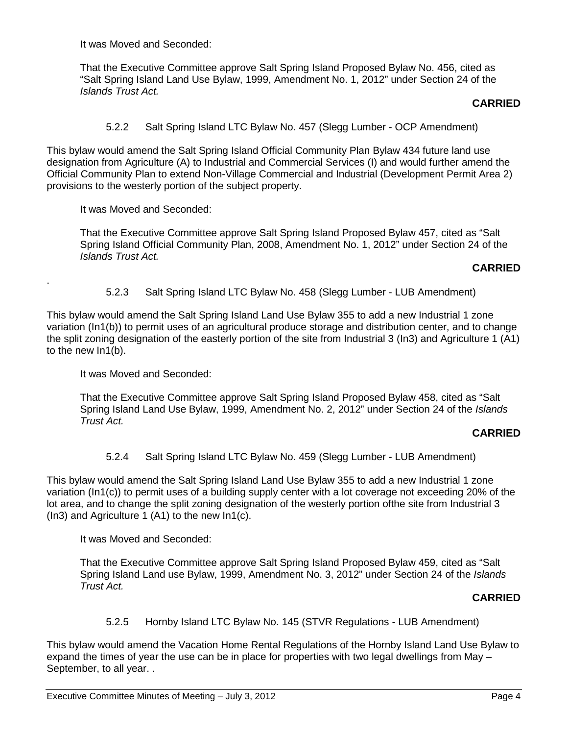It was Moved and Seconded:

That the Executive Committee approve Salt Spring Island Proposed Bylaw No. 456, cited as "Salt Spring Island Land Use Bylaw, 1999, Amendment No. 1, 2012" under Section 24 of the *Islands Trust Act.*

### **CARRIED**

5.2.2 Salt Spring Island LTC Bylaw No. 457 (Slegg Lumber - OCP Amendment)

This bylaw would amend the Salt Spring Island Official Community Plan Bylaw 434 future land use designation from Agriculture (A) to Industrial and Commercial Services (I) and would further amend the Official Community Plan to extend Non-Village Commercial and Industrial (Development Permit Area 2) provisions to the westerly portion of the subject property.

It was Moved and Seconded:

.

That the Executive Committee approve Salt Spring Island Proposed Bylaw 457, cited as "Salt Spring Island Official Community Plan, 2008, Amendment No. 1, 2012" under Section 24 of the *Islands Trust Act.*

# **CARRIED**

5.2.3 Salt Spring Island LTC Bylaw No. 458 (Slegg Lumber - LUB Amendment)

This bylaw would amend the Salt Spring Island Land Use Bylaw 355 to add a new Industrial 1 zone variation (In1(b)) to permit uses of an agricultural produce storage and distribution center, and to change the split zoning designation of the easterly portion of the site from Industrial 3 (In3) and Agriculture 1 (A1) to the new In1(b).

It was Moved and Seconded:

That the Executive Committee approve Salt Spring Island Proposed Bylaw 458, cited as "Salt Spring Island Land Use Bylaw, 1999, Amendment No. 2, 2012" under Section 24 of the *Islands Trust Act.*

# **CARRIED**

5.2.4 Salt Spring Island LTC Bylaw No. 459 (Slegg Lumber - LUB Amendment)

This bylaw would amend the Salt Spring Island Land Use Bylaw 355 to add a new Industrial 1 zone variation (In1(c)) to permit uses of a building supply center with a lot coverage not exceeding 20% of the lot area, and to change the split zoning designation of the westerly portion ofthe site from Industrial 3 (In3) and Agriculture 1 (A1) to the new In1(c).

It was Moved and Seconded:

That the Executive Committee approve Salt Spring Island Proposed Bylaw 459, cited as "Salt Spring Island Land use Bylaw, 1999, Amendment No. 3, 2012" under Section 24 of the *Islands Trust Act.*

# **CARRIED**

#### 5.2.5 Hornby Island LTC Bylaw No. 145 (STVR Regulations - LUB Amendment)

This bylaw would amend the Vacation Home Rental Regulations of the Hornby Island Land Use Bylaw to expand the times of year the use can be in place for properties with two legal dwellings from May – September, to all year. .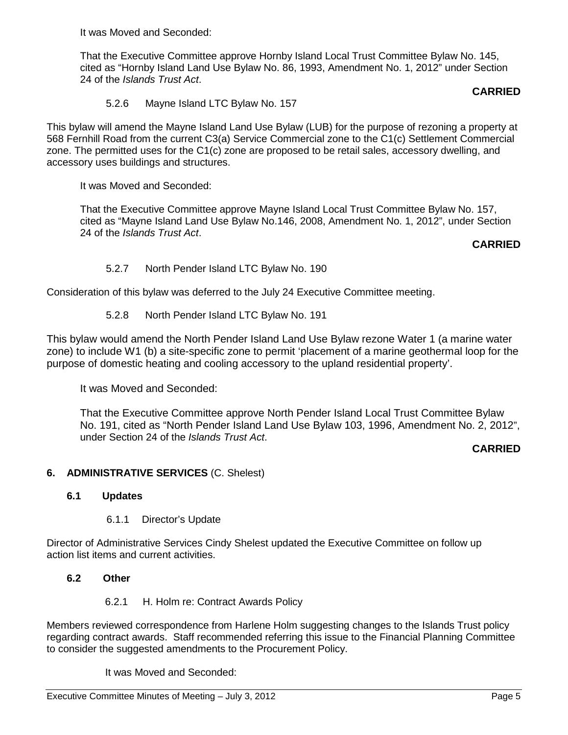It was Moved and Seconded:

That the Executive Committee approve Hornby Island Local Trust Committee Bylaw No. 145, cited as "Hornby Island Land Use Bylaw No. 86, 1993, Amendment No. 1, 2012" under Section 24 of the *Islands Trust Act*.

# **CARRIED**

5.2.6 Mayne Island LTC Bylaw No. 157

This bylaw will amend the Mayne Island Land Use Bylaw (LUB) for the purpose of rezoning a property at 568 Fernhill Road from the current C3(a) Service Commercial zone to the C1(c) Settlement Commercial zone. The permitted uses for the C1(c) zone are proposed to be retail sales, accessory dwelling, and accessory uses buildings and structures.

It was Moved and Seconded:

That the Executive Committee approve Mayne Island Local Trust Committee Bylaw No. 157, cited as "Mayne Island Land Use Bylaw No.146, 2008, Amendment No. 1, 2012", under Section 24 of the *Islands Trust Act*.

# **CARRIED**

5.2.7 North Pender Island LTC Bylaw No. 190

Consideration of this bylaw was deferred to the July 24 Executive Committee meeting.

5.2.8 North Pender Island LTC Bylaw No. 191

This bylaw would amend the North Pender Island Land Use Bylaw rezone Water 1 (a marine water zone) to include W1 (b) a site-specific zone to permit 'placement of a marine geothermal loop for the purpose of domestic heating and cooling accessory to the upland residential property'.

It was Moved and Seconded:

That the Executive Committee approve North Pender Island Local Trust Committee Bylaw No. 191, cited as "North Pender Island Land Use Bylaw 103, 1996, Amendment No. 2, 2012", under Section 24 of the *Islands Trust Act*.

# **CARRIED**

#### **6. ADMINISTRATIVE SERVICES** (C. Shelest)

#### **6.1 Updates**

6.1.1 Director's Update

Director of Administrative Services Cindy Shelest updated the Executive Committee on follow up action list items and current activities.

#### **6.2 Other**

6.2.1 H. Holm re: Contract Awards Policy

Members reviewed correspondence from Harlene Holm suggesting changes to the Islands Trust policy regarding contract awards. Staff recommended referring this issue to the Financial Planning Committee to consider the suggested amendments to the Procurement Policy.

It was Moved and Seconded: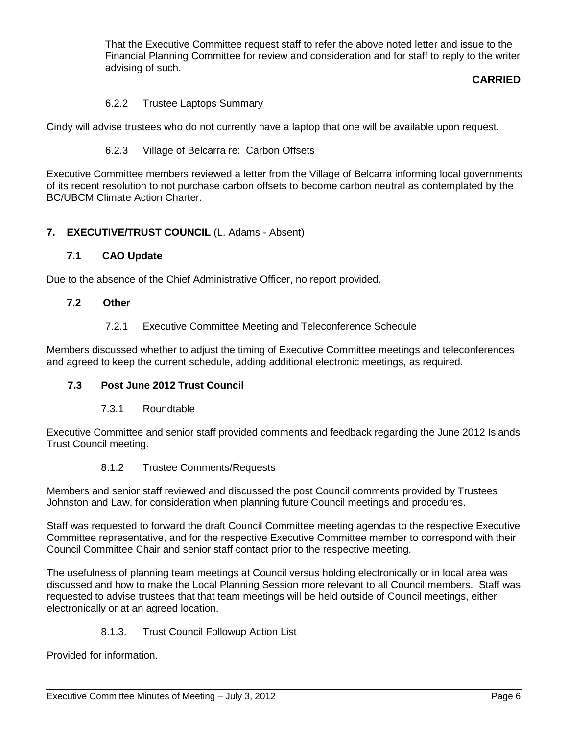That the Executive Committee request staff to refer the above noted letter and issue to the Financial Planning Committee for review and consideration and for staff to reply to the writer advising of such.

# **CARRIED**

# 6.2.2 Trustee Laptops Summary

Cindy will advise trustees who do not currently have a laptop that one will be available upon request.

# 6.2.3 Village of Belcarra re: Carbon Offsets

Executive Committee members reviewed a letter from the Village of Belcarra informing local governments of its recent resolution to not purchase carbon offsets to become carbon neutral as contemplated by the BC/UBCM Climate Action Charter.

# **7. EXECUTIVE/TRUST COUNCIL** (L. Adams - Absent)

# **7.1 CAO Update**

Due to the absence of the Chief Administrative Officer, no report provided.

# **7.2 Other**

7.2.1 Executive Committee Meeting and Teleconference Schedule

Members discussed whether to adjust the timing of Executive Committee meetings and teleconferences and agreed to keep the current schedule, adding additional electronic meetings, as required.

# **7.3 Post June 2012 Trust Council**

7.3.1 Roundtable

Executive Committee and senior staff provided comments and feedback regarding the June 2012 Islands Trust Council meeting.

# 8.1.2 Trustee Comments/Requests

Members and senior staff reviewed and discussed the post Council comments provided by Trustees Johnston and Law, for consideration when planning future Council meetings and procedures.

Staff was requested to forward the draft Council Committee meeting agendas to the respective Executive Committee representative, and for the respective Executive Committee member to correspond with their Council Committee Chair and senior staff contact prior to the respective meeting.

The usefulness of planning team meetings at Council versus holding electronically or in local area was discussed and how to make the Local Planning Session more relevant to all Council members. Staff was requested to advise trustees that that team meetings will be held outside of Council meetings, either electronically or at an agreed location.

#### 8.1.3. Trust Council Followup Action List

Provided for information.